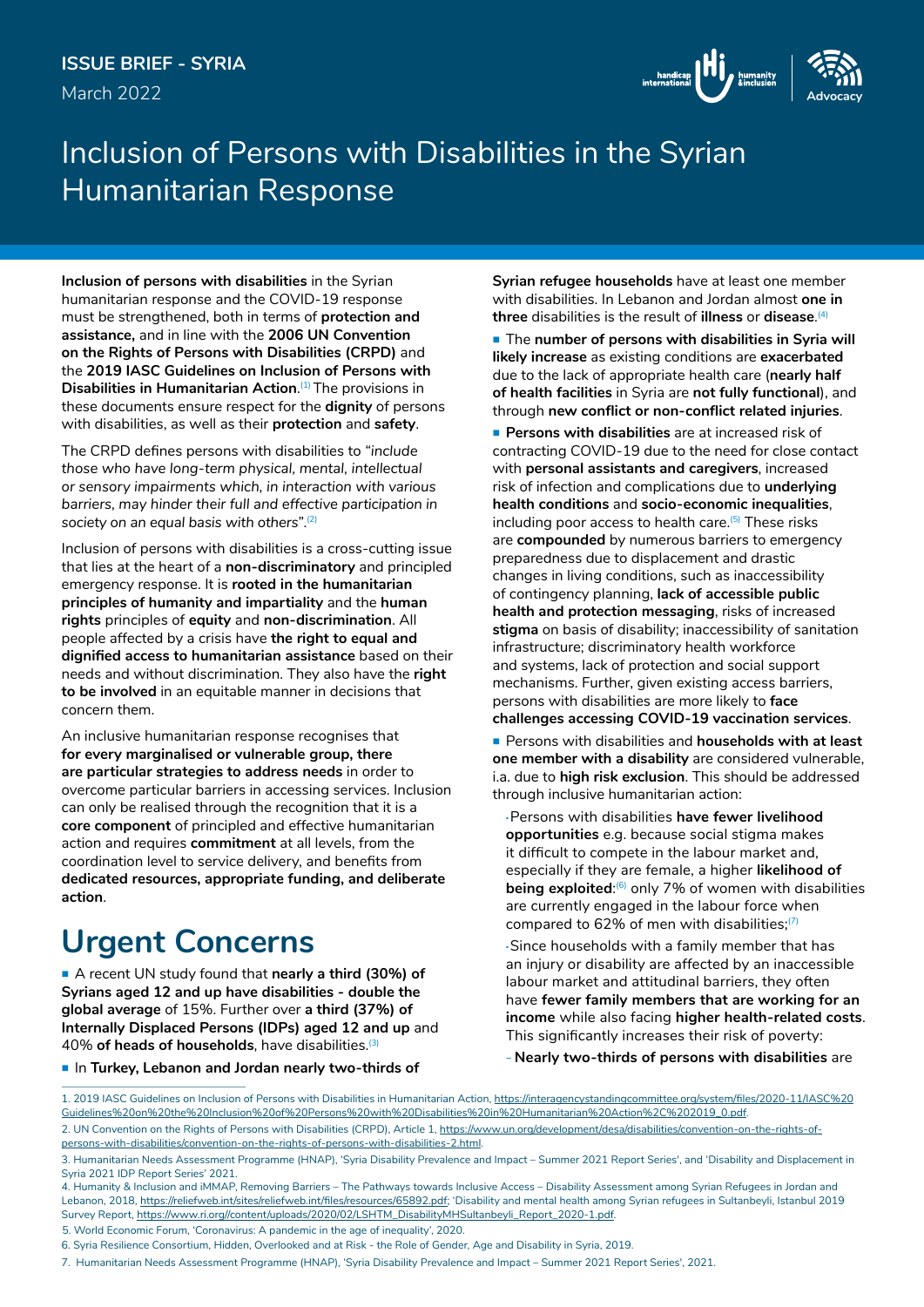

## Inclusion of Persons with Disabilities in the Syrian Humanitarian Response

**Inclusion of persons with disabilities** in the Syrian humanitarian response and the COVID-19 response must be strengthened, both in terms of **protection and assistance,** and in line with the **2006 UN Convention on the Rights of Persons with Disabilities (CRPD)** and the **2019 IASC Guidelines on Inclusion of Persons with Disabilities in Humanitarian Action**. (1) The provisions in these documents ensure respect for the **dignity** of persons with disabilities, as well as their **protection** and **safety**.

The CRPD defines persons with disabilities to *"include those who have long-term physical, mental, intellectual or sensory impairments which, in interaction with various barriers, may hinder their full and effective participation in society on an equal basis with others"*. (2)

Inclusion of persons with disabilities is a cross-cutting issue that lies at the heart of a **non-discriminatory** and principled emergency response. It is **rooted in the humanitarian principles of humanity and impartiality** and the **human rights** principles of **equity** and **non-discrimination**. All people affected by a crisis have **the right to equal and dignified access to humanitarian assistance** based on their needs and without discrimination. They also have the **right to be involved** in an equitable manner in decisions that concern them.

An inclusive humanitarian response recognises that **for every marginalised or vulnerable group, there are particular strategies to address needs** in order to overcome particular barriers in accessing services. Inclusion can only be realised through the recognition that it is a **core component** of principled and effective humanitarian action and requires **commitment** at all levels, from the coordination level to service delivery, and benefits from **dedicated resources, appropriate funding, and deliberate action**.

# **Urgent Concerns**

 A recent UN study found that **nearly a third (30%) of Syrians aged 12 and up have disabilities - double the global average** of 15%. Further over **a third (37%) of Internally Displaced Persons (IDPs) aged 12 and up** and 40% **of heads of households**, have disabilities.(3)

In **Turkey, Lebanon and Jordan nearly two-thirds of** 

**Syrian refugee households** have at least one member with disabilities. In Lebanon and Jordan almost **one in three** disabilities is the result of **illness** or **disease**. (4)

■ The number of persons with disabilities in Syria will **likely increase** as existing conditions are **exacerbated**  due to the lack of appropriate health care (**nearly half of health facilities** in Syria are **not fully functional**), and through **new conflict or non-conflict related injuries**.

 **Persons with disabilities** are at increased risk of contracting COVID-19 due to the need for close contact with **personal assistants and caregivers**, increased risk of infection and complications due to **underlying health conditions** and **socio-economic inequalities**, including poor access to health care.<sup>(5)</sup> These risks are **compounded** by numerous barriers to emergency preparedness due to displacement and drastic changes in living conditions, such as inaccessibility of contingency planning, **lack of accessible public health and protection messaging**, risks of increased **stigma** on basis of disability; inaccessibility of sanitation infrastructure; discriminatory health workforce and systems, lack of protection and social support mechanisms. Further, given existing access barriers, persons with disabilities are more likely to **face challenges accessing COVID-19 vaccination services**.

 Persons with disabilities and **households with at least one member with a disability** are considered vulnerable, i.a. due to **high risk exclusion**. This should be addressed through inclusive humanitarian action:

•Persons with disabilities **have fewer livelihood opportunities** e.g. because social stigma makes it difficult to compete in the labour market and, especially if they are female, a higher **likelihood of being exploited:**<sup>6</sup> only 7% of women with disabilities are currently engaged in the labour force when compared to 62% of men with disabilities;<sup>(7</sup>)

•Since households with a family member that has an injury or disability are affected by an inaccessible labour market and attitudinal barriers, they often have **fewer family members that are working for an income** while also facing **higher health-related costs**. This significantly increases their risk of poverty:

**<sup>−</sup> Nearly two-thirds of persons with disabilities** are

<sup>1. 2019</sup> IASC Guidelines on Inclusion of Persons with Disabilities in Humanitarian Action, [https://interagencystandingcommittee.org/system/files/2020-11/IASC%20](https://interagencystandingcommittee.org/system/files/2020-11/IASC Guidelines on the Inclusion of Persons with Disabilities in Humanitarian Action%2C 2019_0.pdf) [Guidelines%20on%20the%20Inclusion%20of%20Persons%20with%20Disabilities%20in%20Humanitarian%20Action%2C%202019\\_0.pdf](https://interagencystandingcommittee.org/system/files/2020-11/IASC Guidelines on the Inclusion of Persons with Disabilities in Humanitarian Action%2C 2019_0.pdf). 2. UN Convention on the Rights of Persons with Disabilities (CRPD), Article 1, [https://www.un.org/development/desa/disabilities/convention-on-the-rights-of](https://www.un.org/development/desa/disabilities/convention-on-the-rights-of-persons-with-disabilities/convention-on-the-rights-of-persons-with-disabilities-2.html)[persons-with-disabilities/convention-on-the-rights-of-persons-with-disabilities-2.html](https://www.un.org/development/desa/disabilities/convention-on-the-rights-of-persons-with-disabilities/convention-on-the-rights-of-persons-with-disabilities-2.html).

<sup>3.</sup> Humanitarian Needs Assessment Programme (HNAP), 'Syria Disability Prevalence and Impact – Summer 2021 Report Series', and 'Disability and Displacement in Syria 2021 IDP Report Series' 2021.

<sup>4.</sup> Humanity & Inclusion and iMMAP, Removing Barriers – The Pathways towards Inclusive Access – Disability Assessment among Syrian Refugees in Jordan and Lebanon, 2018, <https://reliefweb.int/sites/reliefweb.int/files/resources/65892.pdf>; 'Disability and mental health among Syrian refugees in Sultanbeyli, Istanbul 2019 Survey Report, [https://www.ri.org//content/uploads/2020/02/LSHTM\\_DisabilityMHSultanbeyli\\_Report\\_2020-1.pdf](https://www.ri.org//content/uploads/2020/02/LSHTM_DisabilityMHSultanbeyli_Report_2020-1.pdf).

<sup>5.</sup> World Economic Forum, 'Coronavirus: A pandemic in the age of inequality', 2020.

<sup>6.</sup> Syria Resilience Consortium, Hidden, Overlooked and at Risk - the Role of Gender, Age and Disability in Syria, 2019.

<sup>7.</sup> Humanitarian Needs Assessment Programme (HNAP), 'Syria Disability Prevalence and Impact – Summer 2021 Report Series', 2021.